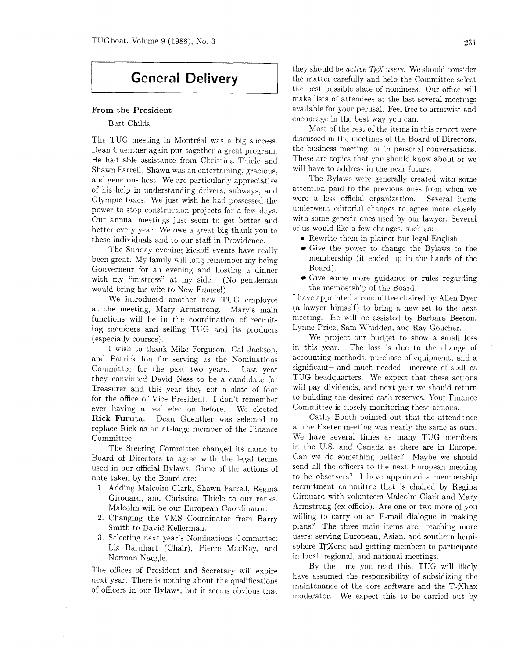# **General Delivery**

## From the President

Bart Childs

The TUG meeting in Montréal was a big success. Dean Guenther again put together a great program. He had able assistance from Christina Thiele and Shawn Farrell. Shawn was an entertaining, gracious. and generous host. We are particularly appreciative of his help in understanding drivers. subways. and Olympic taxes. We just wish he had possessed the power to stop construction projects for a few days. Our annual meetings just seem to get better and better every year. We owe a great big thank you to these individuals and to our staff in Providence.

The Sunday evening kickoff events have really been great. My family will long remember my being Gouverneur for an evening and hosting a dinner with my "mistress" at my side. (No gentleman would bring his wife to New France!)

We introduced another new TUG employee at the meeting, Mary Armstrong. Mary's main functions will be in the coordination of recruiting members and selling TUG and its products (especially courses).

I wish to thank Mike Ferguson. Cal Jackson. and Patrick Ion for serving as the Yominations Committee for the past two years. Last year they convinced David Ness to be a candidate for Treasurer and this year they got a slate of four for the office of Vice President. I don't remember ever having a real election before. We elected **Rick** Furuta. Dean Guenther was selected to replace Rick as an at-large member of the Finance Committee.

The Steering Comrnittee changed its name to Board of Directors to agree with the legal terms used in our official Bylaws. Some of the actions of note taken by the Board are:

- 1. Adding Malcolm Clark. Shawn Farrell, Regina Girouard, and Christina Thiele to our ranks. Malcolm will be our European Coordinator.
- 2. Changing the VMS Coordinator from Barry Smith to David Kellerman.
- **3.** Selecting next year's Nominations Committee: Liz Barnhart (Chair), Pierre MacKay, and Norman Naugle.

The offices of President and Secretary will expire next year. There is nothing about the qualifications of officers in our Bylaws, but it seems obvious that they should be *active TEX users*. We should consider the matter carefully and help the Committee select the best possible slate of nominees. Our office will make lists of attendees at the last several meetings available for your perusal. Feel free to armtwist and encourage in the best way you can.

Most of the rest of the items in this report were discussed in the meetings of the Board of Directors, the business meeting. or in personal conversations. These are topics that you should know about or we will have to address in the near future.

The Bylaws were generally created with some attention paid to the previous ones from when we were a less official organization. Several items underwent editorial changes to agree more closely with some generic ones used by our lawyer. Several of us would like a few changes. such as:

- 0 Rewrite them in plainer but legal English.
- Give the power to change the Bylaws to the membership (it ended up in the hands of the Board).
- Give some more guidance or rules regarding the membership of the Board.

I have appointed a committee chaired by Allen Dyer (a lawyer himself) to bring a new set to the next meeting. He will be assisted by Barbara Beeton, Lynne Price, Sam Whidden, and Ray Goucher.

We project our budget to show a small loss in this year. The loss is due to the change of accounting methods, purchase of equipment. and a significant—and much needed—increase of staff at TUG headquarters. We expect that these actions will pay dividends. and next year we should return to building the desired cash reserves. Your Finance Committee is closely monitoring these actions.

Cathy Booth pointed out that the attendance at the Exeter meeting was nearly the same as ours. We have several times as many TUG members in the U.S. and Canada as there are in Europe. Can we do something better? Maybe we should send all the officers to the next European meeting to be observers? I have appointed a membership recruitment committee that is chaired by Regina Girouard with volunteers Malcolm Clark and Mary Armstrong (ex officio). Are one or two more of you willing to carry on an E-mail dialogue in making plans? The three main items are: reaching more users: serving European. Asian, and southern hemisphere TEXers; and getting members to participate in local, regional. and national meetings.

By the time you read this. TUG will likely have assumed the responsibility of subsidizing the maintenance of the core software and the TFXhax moderator. We expect this to be carried out bv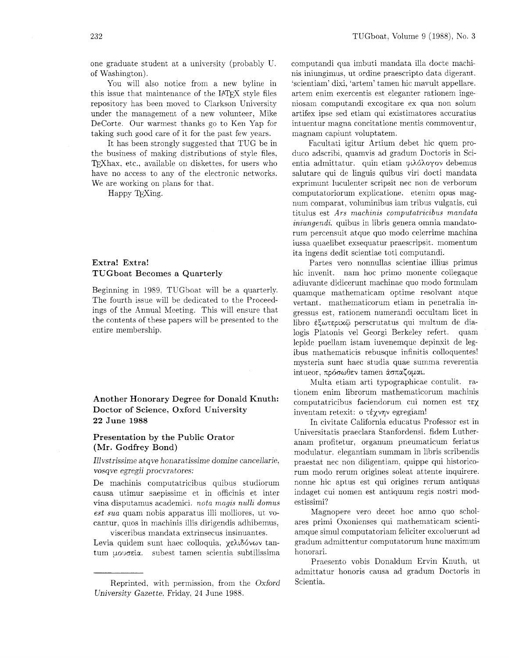one graduate student at a university (probably U. of Washington).

You will also notice from a new byline in this issue that maintenance of the IATFX style files repository has been moved to Clarkson University under the management of a new volunteer. Mike DeCorte. Our warmest thanks go to Ken Yap for taking such good care of it for the past few years.

It has been strongly suggested that TUG be in the business of making distributions of style files. TFXhax, etc., available on diskettes, for users who have no access to any of the electronic networks. We are working on plans for that.

Happy T<sub>F</sub>Xing.

# Extra! Extra! TUGboat Becomes a Quarterly

Beginning in 1989. TUGboat will be a quarterly. The fourth issue will be dedicated to the Proceedings of the Annual Meeting. This will ensure that the contents of these papers will be presented to the entire membership.

## Another Honorary Degree for Donald Knuth: Doctor of Science, Oxford University 22 June 1988

## Presentation by the Public Orator (Mr. Godfrey Bond)

Illvstrissime atqve honaratissime domine cancellarie. vosqve egregii procvratores:

De machinis computatricibus quibus studiorum causa utimur saepissime et in officinis et inter vina disputamus academici. *nota magis nulli domus est sua* quam nobis apparatus illi molliores, ut vocantur. quos in machinis illis dirigendis adhibemus.

visceribus mandata extrinsecus insinuantes. Levia quidem sunt haec colloquia,  $\chi \in \Lambda$ iδόνων tantum μουσεία. subest tamen scientia subtilissima computandi qua imbuti mandata illa docte machinis iniungimus, ut ordine praescripto data digerant. 'xientiam' dixi, 'artem' tamen hie mavult appellare. artem enim exercentis est eleganter rationem ingeniosam computandi excogitare ex qua non solum artifex ipse sed etiam qui existimatores accuratius intuentur magna concitatione mentis commoventur, magnam capiunt voluptatem.

Facultati igitur Artium debet hic quem produco adscribi, quamvis ad gradum Doctoris in Scientia admittatur. quin etiam  $\varphi\lambda\dot{\varphi}\lambda\dot{\varphi}\gamma$  debemus salutare qui de linguis quibus viri docti mandata exprimunt luculenter scripsit nee non de verborurn computatoriorum explicatione. etenim opus magnum comparat, voluminibus iam tribus vulgatis, cui titulus est *Ars machinis computatricibus mandata iniungendi*. *quibus in libris genera omnia mandato*rum percensuit atque quo mod0 celerrime machina iussa quaelibet exsequatur praescripsit. momentum ita ingens dedit scientiae toti computandi.

Partes vero nonnullas scientiae illius primus hic invenit. nam hoc primo monente collegaque adiuvante didicerunt machinae quo modo formulam quamque mathematicam optime resolvant atque vertant. mathematicorum etiam in penetralia ingressus est. rationem numerandi occultam licet in libro *i E*ωτερικώ perscrutatus qui multum de dialogis Platonis vel Georgi Berkeley refert. quam lepide puellam istam iuvenemque depinxit de legibus mathematicis rebusque infinitis colloquentes! rnysteria sunt haec studia quae summa reverentia intueor, πρόσωθεν tamen άσπαζομαι.

Multa etiam arti typographicae contulit. rationem enim librorum mathematicorum machinis cornputatricibus faciendorum cui nomen est TEX inventam retexit: ο τέχνην egregiam!

In civitate California educatus Professor est in Universitatis praeclara Stanfordensi. fidem Lutheranam profitetur. organum pneumaticum feriatus modulatur, elegantiam summam in libris scribendis praestat nec non diligentiam. quippe qui historicorum mod0 rerum origines soleat attente inquirere. nonne hie aptus est qui origines rerum antiquas indaget cui nomen est antiquum regis nostri modestissimi?

Magnopere vero decet hoc anno quo scholares primi Oxonienses qui mathematicam scientiamque simul computatoriam feliciter excoluerunt ad gradum admittentur computatorum hunc maximum honorari.

Praesento vobis Donaldum Ervin Knuth, ut admittatur honoris causa ad gradum Doctoris in Scientia.

Reprinted. with permission. from the Oxford University Gazette. Friday. 24 June 1988.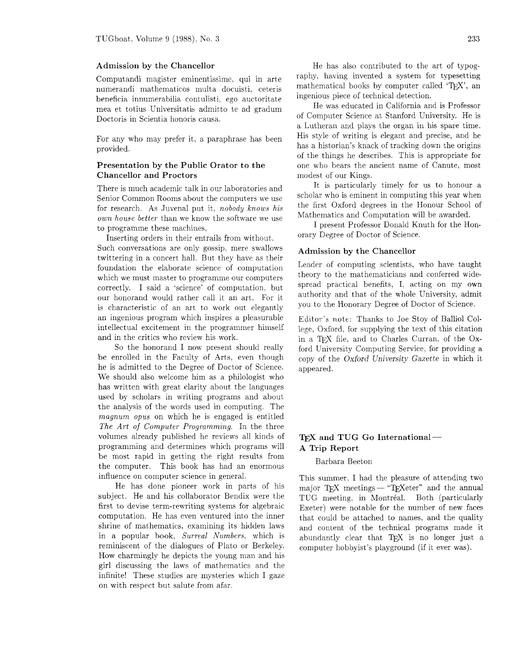#### Admission by the Chancellor

Computandi magister eminentissime, qui in arte numerandi mathematicos multa docuisti, ceteris beneficia innumerabilia contulisti. ego auctoritate mea et totius Universitatis admitto te ad gradurn Doctoris in Scientia honoris causa.

For any who may prefer it, a paraphrase has been provided.

## Presentation by the Public Orator to the Chancellor and Proctors

There is much academic talk in our laboratories and Senior Common Rooms about the computers we use for research. As Juvenal put it. *nobody knows hzs own house better* than we know the software we use to programme these machines.

Inserting orders in their entrails from without. Such conversations are only gossip. mere swallows twittering in a concert hall. But they have as their foundation the elaborate science of computation which we must master to programme our computers correctly. I said a 'science' of computation. but our honorand would rather call it an art. For it is characteristic of an art to work out elegantly an ingenious program which inspires a pleasurable intellectual excitement in the programmer himself and in the critics who review his work.

So the honorand I now present should really be enrolled in the Faculty of Arts, even though he is admitted to the Degree of Doctor of Science. We should also welcome him as a philologist who has written with great clarity about the languages used by scholars in writing programs and about the analysis of the words used in computing. The *magnum opus* on which he is engaged is entitled *The Art of Computer Programming.* In the three volumes already published he reviews all kinds of programming and determines which programs will be most rapid in getting the right results from the computer. This book has had an enormous influence on computer science in general.

He has done pioneer work in parts of his subject. He and his collaborator Bendix were the first to devise term-rewriting systems for algebraic computation. He has even ventured into the inner shrine of mathematics, examining its hidden laws in a popular book, *Surreal Numbers.* which is reminiscent of the dialogues of Plato or Berkeley. How charmingly he depicts the young man and his girl discussing the laws of mathematics and the infinite! These studies are mysteries which I gaze on with respect but salute from afar.

He has also contributed to the art of typography, having invented a system for typesetting mathematical books by computer called 'TFX', an ingenious piece of technical detection.

He was educated in California and is Professor of Computer Science at Stanford University. He is a Lutheran and plays the organ in his spare time. His style of writing is elegant and precise, and he has a historian's knack of tracking down the origins of the things he describes. This is appropriate for one who bears the ancient name of Canute. most modest of our Kings.

It is particularly timely for us to honour a scholar who is eminent in computing this year when the first Oxford degrees in the Honour School of Mathematics and Computation will be awarded.

I present Professor Donald Knuth for the Honorary Degree of Doctor of Science.

## Admission by the Chancellor

Leader of computing scientists, who have taught theory to the mathematicians and conferred widespread practical benefits. I, acting on my own authority and that of the whole University. admit you to the Honorary Degree of Doctor of Science.

Editor's note: Thanks to Joe Stoy of Balliol College, Oxford, for supplying the text of this citation in a TFX file, and to Charles Curran, of the Oxford University Computing Service, for providing a copy of the Oxford University Gazette in which it appeared.

## TFX and TUG Go International-**A** Trip Report

## Barbara Beeton

This summer. I had the pleasure of attending two major TEX meetings - "TEXeter" and the annual TUG meeting, in Montréal. Both (particularly Exeter) were notable for the number of new faces that could be attached to names, and the quality and content of the technical programs made it abundantly clear that T<sub>FX</sub> is no longer just a computer hobbyist's playground (if it ever was).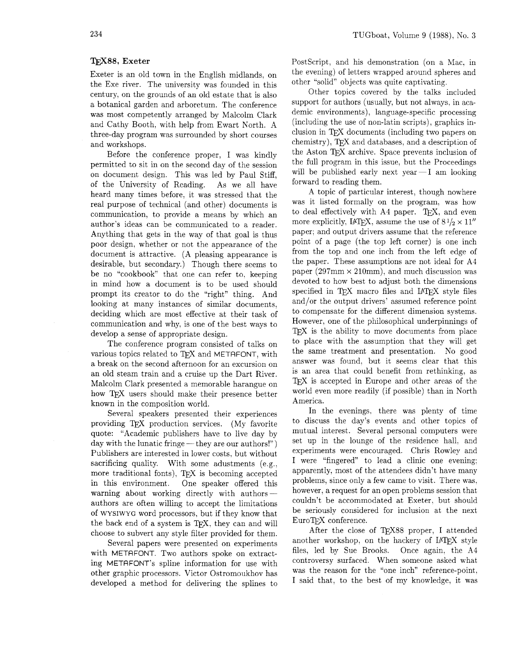#### $TrX88$ , Exeter

Exeter is an old town in the English midlands. on the Exe river. The university was founded in this century, on the grounds of an old estate that is also a botanical garden and arboretum. The conference was most competently arranged by Malcolm Clark and Cathy Booth, with help from Ewart North. A three-day program was surrounded by short courses and workshops.

Before the conference proper, I was kindly permitted to sit in on the second day of the session on document design. This was led by Paul Stiff, of the University of Reading. As we all have heard many times before. it was stressed that the real purpose of technical (and other) documents is communication, to provide a means by which an author's ideas can be communicated to a reader. Anything that gets in the way of that goal is thus poor design, whether or not the appearance of the document is attractive. (A pleasing appearance is desirable, but secondary.) Though there seems to be no "cookbook" that one can refer to, keeping in mind how a document is to be used should prompt its creator to do the "right" thing. And looking at many instances of similar documents, deciding which are most effective at their task of communication and why, is one of the best ways to develop a sense of appropriate design.

The conference program consisted of talks on various topics related to TFX and METAFONT, with a break on the second afternoon for an excursion on an old steam train and a cruise up the Dart River. Malcolm Clark presented a memorable harangue on how TEX users should make their presence better known in the composition world.

Several speakers presented their experiences providing TFX production services. (My favorite quote: "Academic publishers have to live day by day with the lunatic fringe  $-$  they are our authors!") Publishers are interested in lower costs, but without sacrificing quality. With some adustments (e.g.. more traditional fonts),  $T_F X$  is becoming accepted in this environment. One speaker offered this warning about working directly with authorsauthors are often willing to accept the limitations of WYSIWYG word processors, but if they know that the back end of a system is TFX, they can and will choose to subvert any style filter provided for them.

Several papers were presented on experiments with METAFONT. Two authors spoke on extracting METAFONT's spline information for use with other graphic processors. Victor Ostromoukhov has developed a method for delivering the splines to PostScript, and his demonstration (on a Mac. in the evening) of letters wrapped around spheres and other "solid" objects was quite captivating.

Other topics covered by the talks included support for authors (usually, but not always, in academic environments), language-specific processing (including the use of non-latin scripts), graphics inclusion in TFX documents (including two papers on chemistry),  $T_{E}X$  and databases, and a description of the Aston TFX archive. Space prevents inclusion of the full program in this issue, but the Proceedings will be published early next year $-I$  am looking forward to reading them.

A topic of particular interest, though nowhere was it listed formally on the program, was how to deal effectively with A4 paper. TEX, and even more explicitly, IATFX, assume the use of  $8\frac{1}{2} \times 11''$ paper; and output drivers assume that the reference point of a page (the top left corner) is one inch from the top and one inch from the left edge of the paper. These assumptions are not ideal for **A4**  paper  $(297 \text{mm} \times 210 \text{mm})$ , and much discussion was devoted to how best to adjust both the dimensions specified in  $TFX$  macro files and  $IATFX$  style files and/or the output drivers' assumed reference point to compensate for the different dimension systems. However, one of the philosophical underpinnings of TFX is the ability to move documents from place to place with the assumption that they will get the same treatment and presentation. No good answer was found. but it seems clear that this is an area that could benefit from rethinking, as TFX is accepted in Europe and other areas of the world even more readily (if possible) than in North America.

In the evenings. there was plenty of time to discuss the day's events and other topics of mutual interest. Several personal computers were set up in the lounge of the residence hall. and experiments were encouraged. Chris Rowley and I were "fingered" to lead a clinic one evening: apparently. most of the attendees didn't have many problems, since only a few came to visit. There was. however, a request for an open problems session that couldn't be accommodated at Exeter. but should be seriously considered for inclusion at the next EuroTFX conference.

After the close of TEX88 proper, I attended another workshop, on the hackery of IATFX style files, led by Sue Brooks. Once again. the **A4**  controversy surfaced. When someone asked what was the reason for the "one inch" reference-point. I said that, to the best of my knowledge, it was